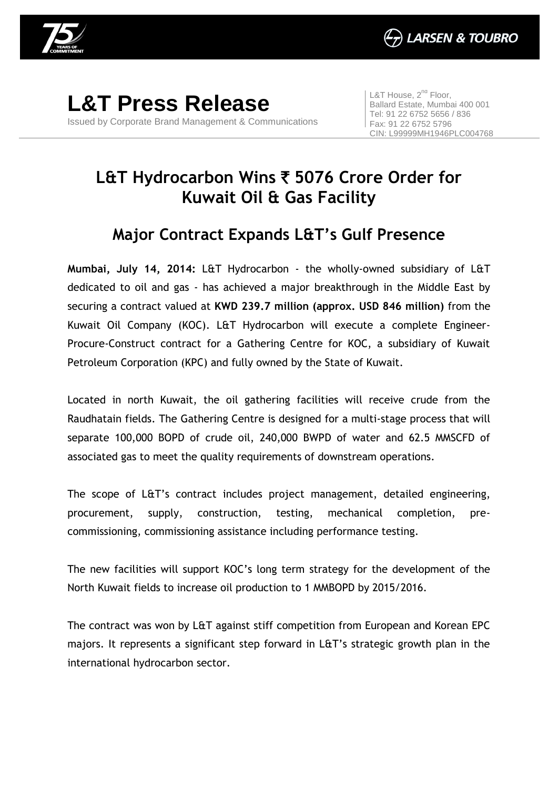

**L&T Press Release** Issued by Corporate Brand Management & Communications

L&T House,  $2^{nd}$  Floor, Ballard Estate, Mumbai 400 001 Tel: 91 22 6752 5656 / 836 Fax: 91 22 6752 5796 CIN: L99999MH1946PLC004768

## **L&T Hydrocarbon Wins** ` **5076 Crore Order for Kuwait Oil & Gas Facility**

## **Major Contract Expands L&T's Gulf Presence**

**Mumbai, July 14, 2014:** L&T Hydrocarbon - the wholly-owned subsidiary of L&T dedicated to oil and gas - has achieved a major breakthrough in the Middle East by securing a contract valued at **KWD 239.7 million (approx. USD 846 million)** from the Kuwait Oil Company (KOC). L&T Hydrocarbon will execute a complete Engineer-Procure-Construct contract for a Gathering Centre for KOC, a subsidiary of Kuwait Petroleum Corporation (KPC) and fully owned by the State of Kuwait.

Located in north Kuwait, the oil gathering facilities will receive crude from the Raudhatain fields. The Gathering Centre is designed for a multi-stage process that will separate 100,000 BOPD of crude oil, 240,000 BWPD of water and 62.5 MMSCFD of associated gas to meet the quality requirements of downstream operations.

The scope of L&T's contract includes project management, detailed engineering, procurement, supply, construction, testing, mechanical completion, precommissioning, commissioning assistance including performance testing.

The new facilities will support KOC's long term strategy for the development of the North Kuwait fields to increase oil production to 1 MMBOPD by 2015/2016.

The contract was won by L&T against stiff competition from European and Korean EPC majors. It represents a significant step forward in L&T's strategic growth plan in the international hydrocarbon sector.